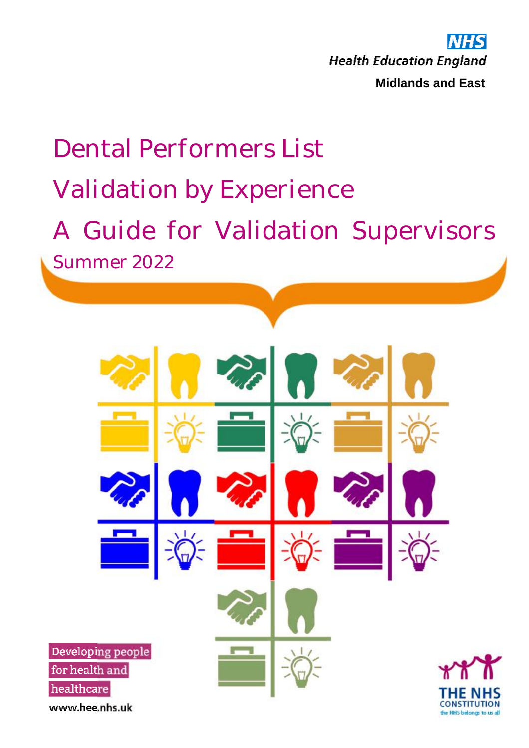**NHS Health Education England Midlands and East**

# Dental Performers List Validation by Experience A Guide for Validation Supervisors Summer 2022 Developing people for health and healthcare **CONSTITUTION** www.hee.nhs.uk the NHS belongs to us all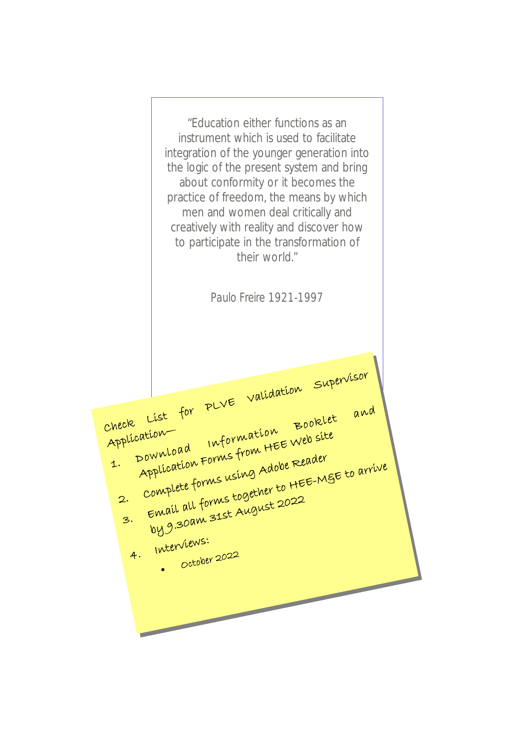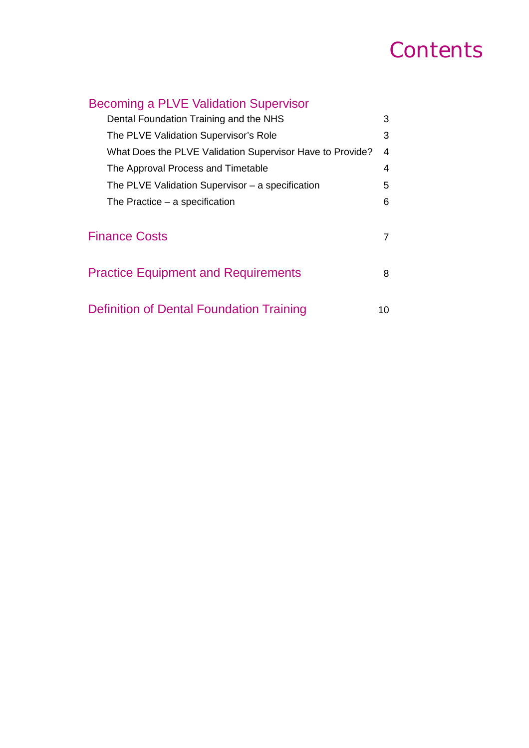# **Contents**

| <b>Becoming a PLVE Validation Supervisor</b>              |    |
|-----------------------------------------------------------|----|
| Dental Foundation Training and the NHS                    | 3  |
| The PLVE Validation Supervisor's Role                     | 3  |
| What Does the PLVE Validation Supervisor Have to Provide? | 4  |
| The Approval Process and Timetable                        | 4  |
| The PLVE Validation Supervisor – a specification          | 5  |
| The Practice – a specification                            | 6  |
|                                                           |    |
| <b>Finance Costs</b>                                      | 7  |
|                                                           |    |
| <b>Practice Equipment and Requirements</b>                | 8  |
|                                                           |    |
| Definition of Dental Foundation Training                  | 10 |
|                                                           |    |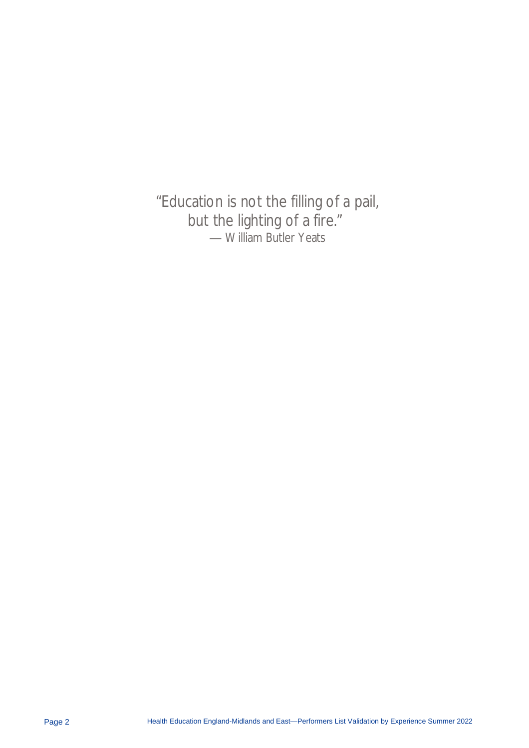"Education is not the filling of a pail, but the lighting of a fire." ― William Butler Yeats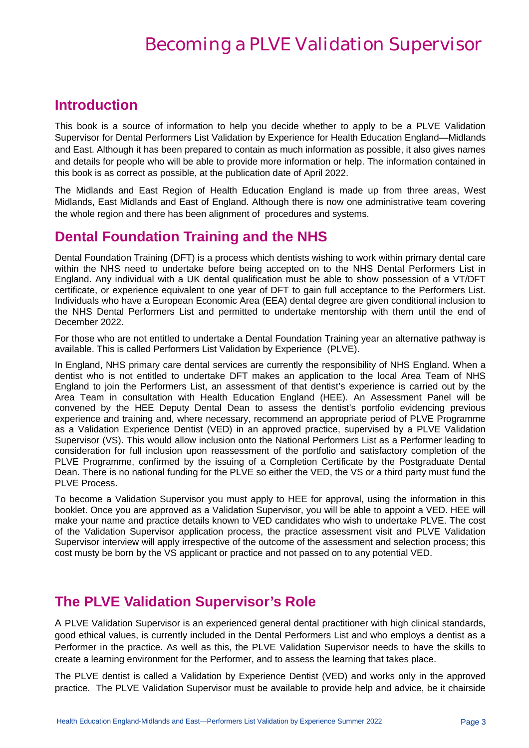### Becoming a PLVE Validation Supervisor

### **Introduction**

This book is a source of information to help you decide whether to apply to be a PLVE Validation Supervisor for Dental Performers List Validation by Experience for Health Education England—Midlands and East. Although it has been prepared to contain as much information as possible, it also gives names and details for people who will be able to provide more information or help. The information contained in this book is as correct as possible, at the publication date of April 2022.

The Midlands and East Region of Health Education England is made up from three areas, West Midlands, East Midlands and East of England. Although there is now one administrative team covering the whole region and there has been alignment of procedures and systems.

### **Dental Foundation Training and the NHS**

Dental Foundation Training (DFT) is a process which dentists wishing to work within primary dental care within the NHS need to undertake before being accepted on to the NHS Dental Performers List in England. Any individual with a UK dental qualification must be able to show possession of a VT/DFT certificate, or experience equivalent to one year of DFT to gain full acceptance to the Performers List. Individuals who have a European Economic Area (EEA) dental degree are given conditional inclusion to the NHS Dental Performers List and permitted to undertake mentorship with them until the end of December 2022.

For those who are not entitled to undertake a Dental Foundation Training year an alternative pathway is available. This is called Performers List Validation by Experience (PLVE).

In England, NHS primary care dental services are currently the responsibility of NHS England. When a dentist who is not entitled to undertake DFT makes an application to the local Area Team of NHS England to join the Performers List, an assessment of that dentist's experience is carried out by the Area Team in consultation with Health Education England (HEE). An Assessment Panel will be convened by the HEE Deputy Dental Dean to assess the dentist's portfolio evidencing previous experience and training and, where necessary, recommend an appropriate period of PLVE Programme as a Validation Experience Dentist (VED) in an approved practice, supervised by a PLVE Validation Supervisor (VS). This would allow inclusion onto the National Performers List as a Performer leading to consideration for full inclusion upon reassessment of the portfolio and satisfactory completion of the PLVE Programme, confirmed by the issuing of a Completion Certificate by the Postgraduate Dental Dean. There is no national funding for the PLVE so either the VED, the VS or a third party must fund the PLVE Process.

To become a Validation Supervisor you must apply to HEE for approval, using the information in this booklet. Once you are approved as a Validation Supervisor, you will be able to appoint a VED. HEE will make your name and practice details known to VED candidates who wish to undertake PLVE. The cost of the Validation Supervisor application process, the practice assessment visit and PLVE Validation Supervisor interview will apply irrespective of the outcome of the assessment and selection process; this cost musty be born by the VS applicant or practice and not passed on to any potential VED.

### **The PLVE Validation Supervisor's Role**

A PLVE Validation Supervisor is an experienced general dental practitioner with high clinical standards, good ethical values, is currently included in the Dental Performers List and who employs a dentist as a Performer in the practice. As well as this, the PLVE Validation Supervisor needs to have the skills to create a learning environment for the Performer, and to assess the learning that takes place.

The PLVE dentist is called a Validation by Experience Dentist (VED) and works only in the approved practice. The PLVE Validation Supervisor must be available to provide help and advice, be it chairside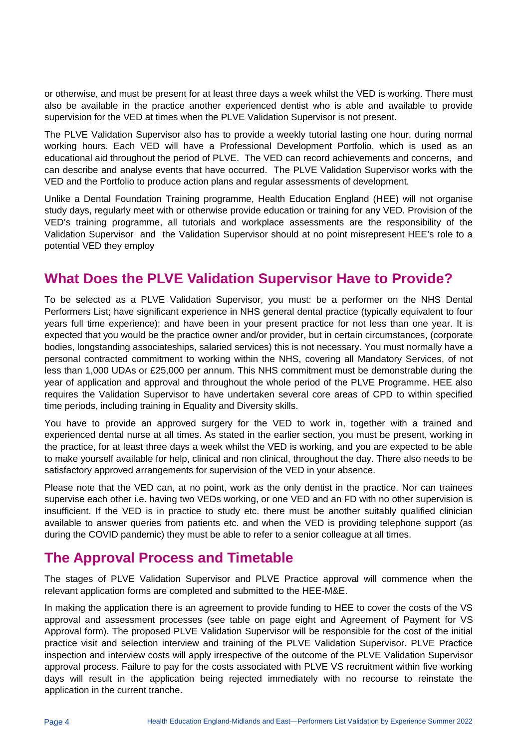or otherwise, and must be present for at least three days a week whilst the VED is working. There must also be available in the practice another experienced dentist who is able and available to provide supervision for the VED at times when the PLVE Validation Supervisor is not present.

The PLVE Validation Supervisor also has to provide a weekly tutorial lasting one hour, during normal working hours. Each VED will have a Professional Development Portfolio, which is used as an educational aid throughout the period of PLVE. The VED can record achievements and concerns, and can describe and analyse events that have occurred. The PLVE Validation Supervisor works with the VED and the Portfolio to produce action plans and regular assessments of development.

Unlike a Dental Foundation Training programme, Health Education England (HEE) will not organise study days, regularly meet with or otherwise provide education or training for any VED. Provision of the VED's training programme, all tutorials and workplace assessments are the responsibility of the Validation Supervisor and the Validation Supervisor should at no point misrepresent HEE's role to a potential VED they employ

### **What Does the PLVE Validation Supervisor Have to Provide?**

To be selected as a PLVE Validation Supervisor, you must: be a performer on the NHS Dental Performers List; have significant experience in NHS general dental practice (typically equivalent to four years full time experience); and have been in your present practice for not less than one year. It is expected that you would be the practice owner and/or provider, but in certain circumstances, (corporate bodies, longstanding associateships, salaried services) this is not necessary. You must normally have a personal contracted commitment to working within the NHS, covering all Mandatory Services, of not less than 1,000 UDAs or £25,000 per annum. This NHS commitment must be demonstrable during the year of application and approval and throughout the whole period of the PLVE Programme. HEE also requires the Validation Supervisor to have undertaken several core areas of CPD to within specified time periods, including training in Equality and Diversity skills.

You have to provide an approved surgery for the VED to work in, together with a trained and experienced dental nurse at all times. As stated in the earlier section, you must be present, working in the practice, for at least three days a week whilst the VED is working, and you are expected to be able to make yourself available for help, clinical and non clinical, throughout the day. There also needs to be satisfactory approved arrangements for supervision of the VED in your absence.

Please note that the VED can, at no point, work as the only dentist in the practice. Nor can trainees supervise each other i.e. having two VEDs working, or one VED and an FD with no other supervision is insufficient. If the VED is in practice to study etc. there must be another suitably qualified clinician available to answer queries from patients etc. and when the VED is providing telephone support (as during the COVID pandemic) they must be able to refer to a senior colleague at all times.

### **The Approval Process and Timetable**

The stages of PLVE Validation Supervisor and PLVE Practice approval will commence when the relevant application forms are completed and submitted to the HEE-M&E.

In making the application there is an agreement to provide funding to HEE to cover the costs of the VS approval and assessment processes (see table on page eight and Agreement of Payment for VS Approval form). The proposed PLVE Validation Supervisor will be responsible for the cost of the initial practice visit and selection interview and training of the PLVE Validation Supervisor. PLVE Practice inspection and interview costs will apply irrespective of the outcome of the PLVE Validation Supervisor approval process. Failure to pay for the costs associated with PLVE VS recruitment within five working days will result in the application being rejected immediately with no recourse to reinstate the application in the current tranche.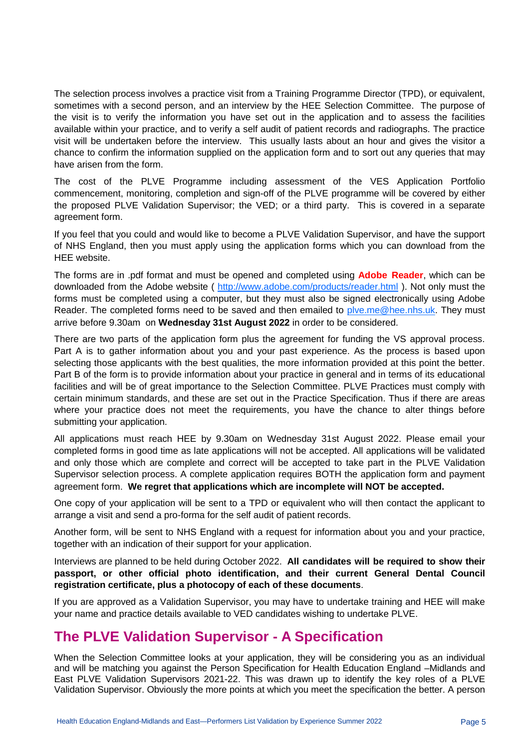The selection process involves a practice visit from a Training Programme Director (TPD), or equivalent, sometimes with a second person, and an interview by the HEE Selection Committee. The purpose of the visit is to verify the information you have set out in the application and to assess the facilities available within your practice, and to verify a self audit of patient records and radiographs. The practice visit will be undertaken before the interview. This usually lasts about an hour and gives the visitor a chance to confirm the information supplied on the application form and to sort out any queries that may have arisen from the form.

The cost of the PLVE Programme including assessment of the VES Application Portfolio commencement, monitoring, completion and sign-off of the PLVE programme will be covered by either the proposed PLVE Validation Supervisor; the VED; or a third party. This is covered in a separate agreement form.

If you feel that you could and would like to become a PLVE Validation Supervisor, and have the support of NHS England, then you must apply using the application forms which you can download from the HEE website.

The forms are in .pdf format and must be opened and completed using **Adobe Reader**, which can be downloaded from the Adobe website ( <http://www.adobe.com/products/reader.html> ). Not only must the forms must be completed using a computer, but they must also be signed electronically using Adobe Reader. The completed forms need to be saved and then emailed to plye.me@hee.nhs.uk. They must arrive before 9.30am on **Wednesday 31st August 2022** in order to be considered.

There are two parts of the application form plus the agreement for funding the VS approval process. Part A is to gather information about you and your past experience. As the process is based upon selecting those applicants with the best qualities, the more information provided at this point the better. Part B of the form is to provide information about your practice in general and in terms of its educational facilities and will be of great importance to the Selection Committee. PLVE Practices must comply with certain minimum standards, and these are set out in the Practice Specification. Thus if there are areas where your practice does not meet the requirements, you have the chance to alter things before submitting your application.

All applications must reach HEE by 9.30am on Wednesday 31st August 2022. Please email your completed forms in good time as late applications will not be accepted. All applications will be validated and only those which are complete and correct will be accepted to take part in the PLVE Validation Supervisor selection process. A complete application requires BOTH the application form and payment agreement form. **We regret that applications which are incomplete will NOT be accepted.** 

One copy of your application will be sent to a TPD or equivalent who will then contact the applicant to arrange a visit and send a pro-forma for the self audit of patient records.

Another form, will be sent to NHS England with a request for information about you and your practice, together with an indication of their support for your application.

Interviews are planned to be held during October 2022. **All candidates will be required to show their passport, or other official photo identification, and their current General Dental Council registration certificate, plus a photocopy of each of these documents**.

If you are approved as a Validation Supervisor, you may have to undertake training and HEE will make your name and practice details available to VED candidates wishing to undertake PLVE.

### **The PLVE Validation Supervisor - A Specification**

When the Selection Committee looks at your application, they will be considering you as an individual and will be matching you against the Person Specification for Health Education England –Midlands and East PLVE Validation Supervisors 2021-22. This was drawn up to identify the key roles of a PLVE Validation Supervisor. Obviously the more points at which you meet the specification the better. A person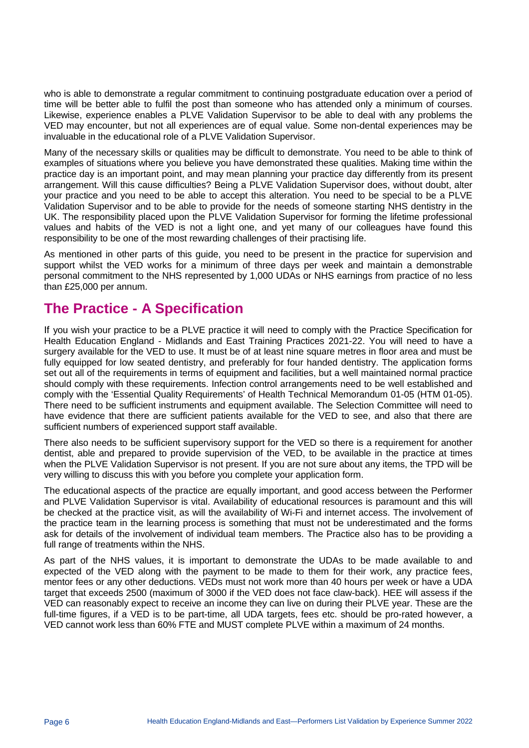who is able to demonstrate a regular commitment to continuing postgraduate education over a period of time will be better able to fulfil the post than someone who has attended only a minimum of courses. Likewise, experience enables a PLVE Validation Supervisor to be able to deal with any problems the VED may encounter, but not all experiences are of equal value. Some non-dental experiences may be invaluable in the educational role of a PLVE Validation Supervisor.

Many of the necessary skills or qualities may be difficult to demonstrate. You need to be able to think of examples of situations where you believe you have demonstrated these qualities. Making time within the practice day is an important point, and may mean planning your practice day differently from its present arrangement. Will this cause difficulties? Being a PLVE Validation Supervisor does, without doubt, alter your practice and you need to be able to accept this alteration. You need to be special to be a PLVE Validation Supervisor and to be able to provide for the needs of someone starting NHS dentistry in the UK. The responsibility placed upon the PLVE Validation Supervisor for forming the lifetime professional values and habits of the VED is not a light one, and yet many of our colleagues have found this responsibility to be one of the most rewarding challenges of their practising life.

As mentioned in other parts of this guide, you need to be present in the practice for supervision and support whilst the VED works for a minimum of three days per week and maintain a demonstrable personal commitment to the NHS represented by 1,000 UDAs or NHS earnings from practice of no less than £25,000 per annum.

### **The Practice - A Specification**

If you wish your practice to be a PLVE practice it will need to comply with the Practice Specification for Health Education England - Midlands and East Training Practices 2021-22. You will need to have a surgery available for the VED to use. It must be of at least nine square metres in floor area and must be fully equipped for low seated dentistry, and preferably for four handed dentistry. The application forms set out all of the requirements in terms of equipment and facilities, but a well maintained normal practice should comply with these requirements. Infection control arrangements need to be well established and comply with the 'Essential Quality Requirements' of Health Technical Memorandum 01-05 (HTM 01-05). There need to be sufficient instruments and equipment available. The Selection Committee will need to have evidence that there are sufficient patients available for the VED to see, and also that there are sufficient numbers of experienced support staff available.

There also needs to be sufficient supervisory support for the VED so there is a requirement for another dentist, able and prepared to provide supervision of the VED, to be available in the practice at times when the PLVE Validation Supervisor is not present. If you are not sure about any items, the TPD will be very willing to discuss this with you before you complete your application form.

The educational aspects of the practice are equally important, and good access between the Performer and PLVE Validation Supervisor is vital. Availability of educational resources is paramount and this will be checked at the practice visit, as will the availability of Wi-Fi and internet access. The involvement of the practice team in the learning process is something that must not be underestimated and the forms ask for details of the involvement of individual team members. The Practice also has to be providing a full range of treatments within the NHS.

As part of the NHS values, it is important to demonstrate the UDAs to be made available to and expected of the VED along with the payment to be made to them for their work, any practice fees, mentor fees or any other deductions. VEDs must not work more than 40 hours per week or have a UDA target that exceeds 2500 (maximum of 3000 if the VED does not face claw-back). HEE will assess if the VED can reasonably expect to receive an income they can live on during their PLVE year. These are the full-time figures, if a VED is to be part-time, all UDA targets, fees etc. should be pro-rated however, a VED cannot work less than 60% FTE and MUST complete PLVE within a maximum of 24 months.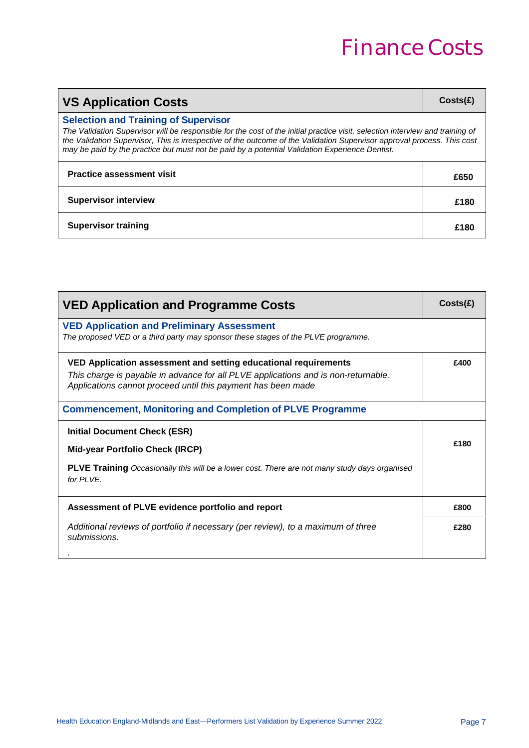# Finance Costs

| <b>VS Application Costs</b>                                                                                                                                                                                                                                                                                                                                                                               |      |
|-----------------------------------------------------------------------------------------------------------------------------------------------------------------------------------------------------------------------------------------------------------------------------------------------------------------------------------------------------------------------------------------------------------|------|
| <b>Selection and Training of Supervisor</b><br>The Validation Supervisor will be responsible for the cost of the initial practice visit, selection interview and training of<br>the Validation Supervisor, This is irrespective of the outcome of the Validation Supervisor approval process. This cost<br>may be paid by the practice but must not be paid by a potential Validation Experience Dentist. |      |
| <b>Practice assessment visit</b>                                                                                                                                                                                                                                                                                                                                                                          | £650 |
| <b>Supervisor interview</b>                                                                                                                                                                                                                                                                                                                                                                               | £180 |
| <b>Supervisor training</b>                                                                                                                                                                                                                                                                                                                                                                                | £180 |

| <b>VED Application and Programme Costs</b>                                                                                                                                                                            | Costs(E) |
|-----------------------------------------------------------------------------------------------------------------------------------------------------------------------------------------------------------------------|----------|
| <b>VED Application and Preliminary Assessment</b><br>The proposed VED or a third party may sponsor these stages of the PLVE programme.                                                                                |          |
| VED Application assessment and setting educational requirements<br>This charge is payable in advance for all PLVE applications and is non-returnable.<br>Applications cannot proceed until this payment has been made | £400     |
| <b>Commencement, Monitoring and Completion of PLVE Programme</b>                                                                                                                                                      |          |
| <b>Initial Document Check (ESR)</b><br><b>Mid-year Portfolio Check (IRCP)</b><br><b>PLVE Training</b> Occasionally this will be a lower cost. There are not many study days organised<br>for PI VF.                   | £180     |
| Assessment of PLVE evidence portfolio and report                                                                                                                                                                      | £800     |
| Additional reviews of portfolio if necessary (per review), to a maximum of three<br>submissions.                                                                                                                      | £280     |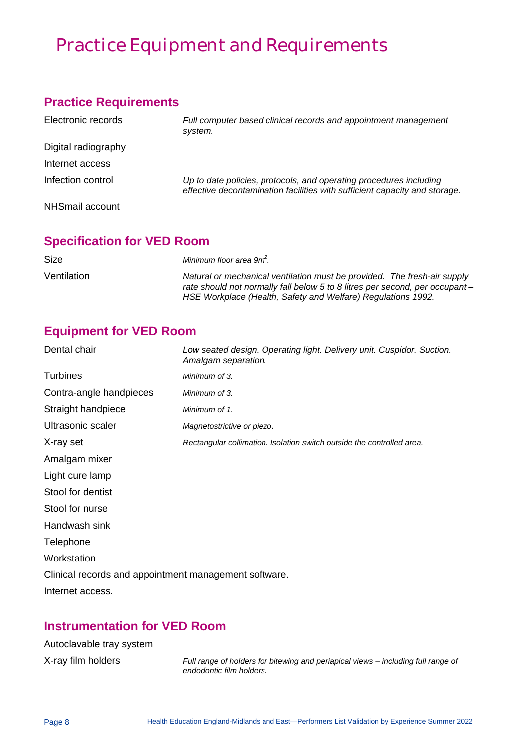## Practice Equipment and Requirements

#### **Practice Requirements**

| Electronic records  | Full computer based clinical records and appointment management<br>system.                                                                       |
|---------------------|--------------------------------------------------------------------------------------------------------------------------------------------------|
| Digital radiography |                                                                                                                                                  |
| Internet access     |                                                                                                                                                  |
| Infection control   | Up to date policies, protocols, and operating procedures including<br>effective decontamination facilities with sufficient capacity and storage. |
| NHSmail account     |                                                                                                                                                  |

### **Specification for VED Room**

| <b>Size</b> | Minimum floor area 9m <sup>2</sup> .                                                                                                                                                                                     |
|-------------|--------------------------------------------------------------------------------------------------------------------------------------------------------------------------------------------------------------------------|
| Ventilation | Natural or mechanical ventilation must be provided. The fresh-air supply<br>rate should not normally fall below 5 to 8 litres per second, per occupant –<br>HSE Workplace (Health, Safety and Welfare) Regulations 1992. |

### **Equipment for VED Room**

| Dental chair                                          | Low seated design. Operating light. Delivery unit. Cuspidor. Suction.<br>Amalgam separation. |
|-------------------------------------------------------|----------------------------------------------------------------------------------------------|
| <b>Turbines</b>                                       | Minimum of 3.                                                                                |
| Contra-angle handpieces                               | Minimum of 3.                                                                                |
| Straight handpiece                                    | Minimum of 1.                                                                                |
| Ultrasonic scaler                                     | Magnetostrictive or piezo.                                                                   |
| X-ray set                                             | Rectangular collimation. Isolation switch outside the controlled area.                       |
| Amalgam mixer                                         |                                                                                              |
| Light cure lamp                                       |                                                                                              |
| Stool for dentist                                     |                                                                                              |
| Stool for nurse                                       |                                                                                              |
| Handwash sink                                         |                                                                                              |
| Telephone                                             |                                                                                              |
| Workstation                                           |                                                                                              |
| Clinical records and appointment management software. |                                                                                              |
| Internet access.                                      |                                                                                              |

#### **Instrumentation for VED Room**

| Autoclavable tray system |  |
|--------------------------|--|
| X-ray film holders       |  |

X-ray film holders *Full range of holders for bitewing and periapical views – including full range of endodontic film holders.*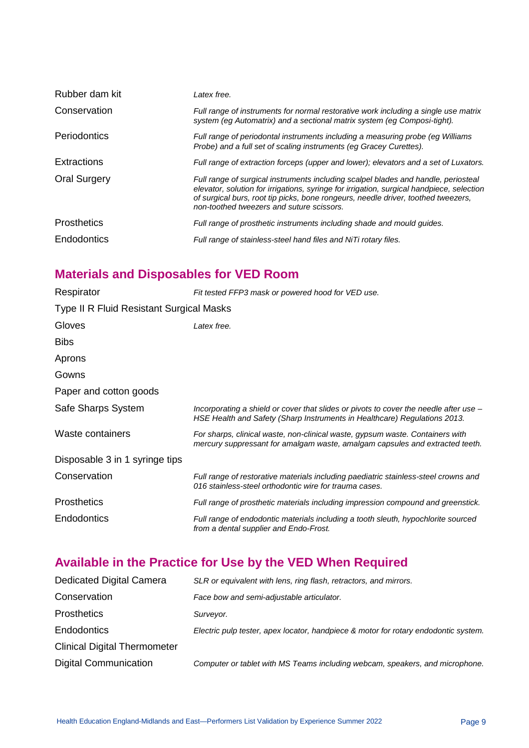| Rubber dam kit      | Latex free.                                                                                                                                                                                                                                                                                                       |
|---------------------|-------------------------------------------------------------------------------------------------------------------------------------------------------------------------------------------------------------------------------------------------------------------------------------------------------------------|
| Conservation        | Full range of instruments for normal restorative work including a single use matrix<br>system (eg Automatrix) and a sectional matrix system (eg Composi-tight).                                                                                                                                                   |
| Periodontics        | Full range of periodontal instruments including a measuring probe (eg Williams<br>Probe) and a full set of scaling instruments (eg Gracey Curettes).                                                                                                                                                              |
| Extractions         | Full range of extraction forceps (upper and lower); elevators and a set of Luxators.                                                                                                                                                                                                                              |
| <b>Oral Surgery</b> | Full range of surgical instruments including scalpel blades and handle, periosteal<br>elevator, solution for irrigations, syringe for irrigation, surgical handpiece, selection<br>of surgical burs, root tip picks, bone rongeurs, needle driver, toothed tweezers,<br>non-toothed tweezers and suture scissors. |
| <b>Prosthetics</b>  | Full range of prosthetic instruments including shade and mould quides.                                                                                                                                                                                                                                            |
| Endodontics         | Full range of stainless-steel hand files and NiTi rotary files.                                                                                                                                                                                                                                                   |

### **Materials and Disposables for VED Room**

| Respirator                               | Fit tested FFP3 mask or powered hood for VED use.                                                                                                                  |  |
|------------------------------------------|--------------------------------------------------------------------------------------------------------------------------------------------------------------------|--|
| Type II R Fluid Resistant Surgical Masks |                                                                                                                                                                    |  |
| Gloves                                   | Latex free.                                                                                                                                                        |  |
| <b>Bibs</b>                              |                                                                                                                                                                    |  |
| Aprons                                   |                                                                                                                                                                    |  |
| Gowns                                    |                                                                                                                                                                    |  |
| Paper and cotton goods                   |                                                                                                                                                                    |  |
| Safe Sharps System                       | Incorporating a shield or cover that slides or pivots to cover the needle after use -<br>HSE Health and Safety (Sharp Instruments in Healthcare) Regulations 2013. |  |
| Waste containers                         | For sharps, clinical waste, non-clinical waste, gypsum waste. Containers with<br>mercury suppressant for amalgam waste, amalgam capsules and extracted teeth.      |  |
| Disposable 3 in 1 syringe tips           |                                                                                                                                                                    |  |
| Conservation                             | Full range of restorative materials including paediatric stainless-steel crowns and<br>016 stainless-steel orthodontic wire for trauma cases.                      |  |
| <b>Prosthetics</b>                       | Full range of prosthetic materials including impression compound and greenstick.                                                                                   |  |
| <b>Endodontics</b>                       | Full range of endodontic materials including a tooth sleuth, hypochlorite sourced<br>from a dental supplier and Endo-Frost.                                        |  |

### **Available in the Practice for Use by the VED When Required**

| Dedicated Digital Camera            | SLR or equivalent with lens, ring flash, retractors, and mirrors.                   |
|-------------------------------------|-------------------------------------------------------------------------------------|
| Conservation                        | Face bow and semi-adjustable articulator.                                           |
| <b>Prosthetics</b>                  | Surveyor.                                                                           |
| Endodontics                         | Electric pulp tester, apex locator, handpiece & motor for rotary endodontic system. |
| <b>Clinical Digital Thermometer</b> |                                                                                     |
| <b>Digital Communication</b>        | Computer or tablet with MS Teams including webcam, speakers, and microphone.        |